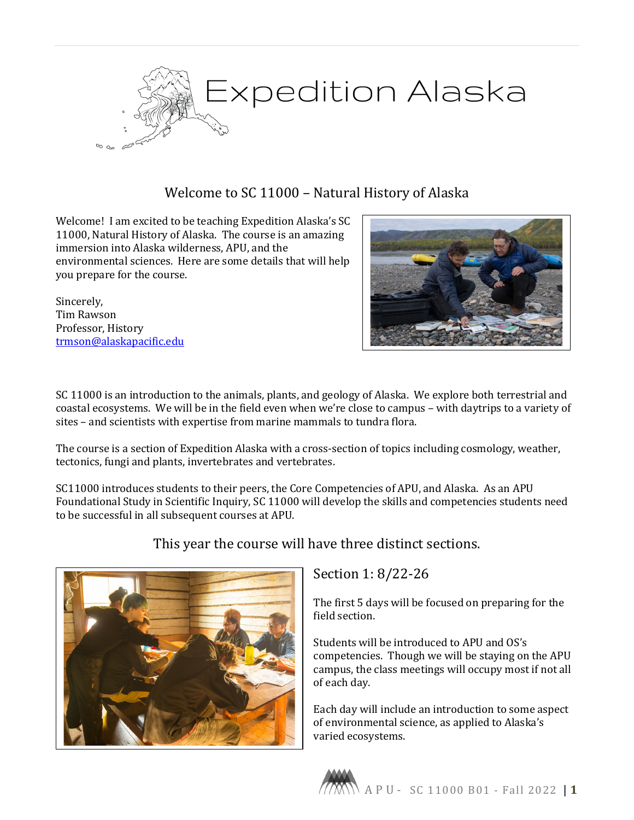

# Welcome to SC 11000 – Natural History of Alaska

Welcome! I am excited to be teaching Expedition Alaska's SC 11000, Natural History of Alaska. The course is an amazing immersion into Alaska wilderness, APU, and the environmental sciences. Here are some details that will help you prepare for the course.

Sincerely, Tim Rawson Professor, History [trmson@alaskapacific.edu](mailto:trmson@alaskapacific.edu)



SC 11000 is an introduction to the animals, plants, and geology of Alaska. We explore both terrestrial and coastal ecosystems. We will be in the field even when we're close to campus – with daytrips to a variety of sites – and scientists with expertise from marine mammals to tundra flora.

The course is a section of Expedition Alaska with a cross-section of topics including cosmology, weather, tectonics, fungi and plants, invertebrates and vertebrates.

SC11000 introduces students to their peers, the Core Competencies of APU, and Alaska. As an APU Foundational Study in Scientific Inquiry, SC 11000 will develop the skills and competencies students need to be successful in all subsequent courses at APU.



# This year the course will have three distinct sections.

### Section 1: 8/22-26

The first 5 days will be focused on preparing for the field section.

Students will be introduced to APU and OS's competencies. Though we will be staying on the APU campus, the class meetings will occupy most if not all of each day.

Each day will include an introduction to some aspect of environmental science, as applied to Alaska's varied ecosystems.